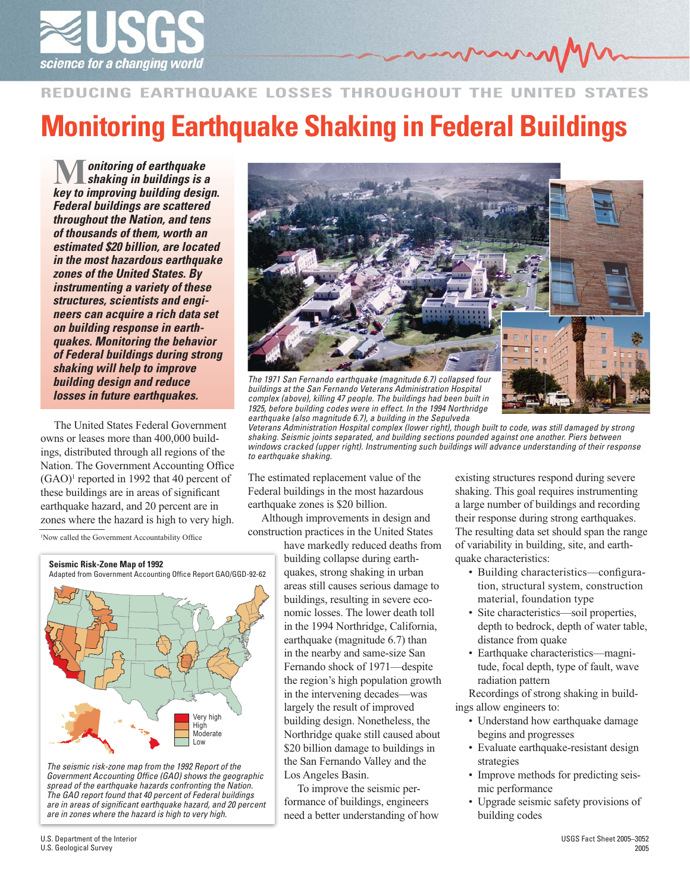

## **REDUCING EARTHQUAKE LOSSES THROUGHOUT THE UNITED Monitoring Earthquake Shaking in Federal Buildings**

*key to improving building design. Federal buildings are scattered throughout the Nation, and tens of thousands of them, worth an estimated \$20 billion, are located in the most hazardous earthquake zones of the United States. By instrumenting a variety of these structures, scientists and engineers can acquire a rich data set on building response in earthquakes. Monitoring the behavior of Federal buildings during strong shaking will help to improve building design and reduce losses in future earthquakes.* **M** onitoring of earthquake<br> *shaking in buildings is a*<br> *kov* **to improving building dosigned** 

owns or leases more than 400,000 buildings, distributed through all regions of the Nation. The Government Accounting Office (GAO)<sup>1</sup> reported in 1992 that 40 percent of these buildings are in areas of significant earthquake hazard, and 20 percent are in zones where the hazard is high to very high.

<sup>1</sup>Now called the Government Accountability Office



*The seismic risk-zone map from the 1992 Report of the*  Government Accounting Office (GAO) shows the geographic *spread of the earthquake hazards confronting the Nation. The GAO report found that 40 percent of Federal buildings are in areas of signifi cant earthquake hazard, and 20 percent are in zones where the hazard is high to very high.*



*buildings at the San Fernando Veterans Administration Hospital complex (above), killing 47 people. The buildings had been built in 1925, before building codes were in effect. In the 1994 Northridge earthquake (also magnitude 6.7), a building in the Sepulveda*<br>Veterans Administration Hospital complex (lower right), thou

*Veterans Administration Hospital complex (lower right), though built to code, was still damaged by strong shaking. Seismic joints separated, and building sections pounded against one another. Piers between windows cracked (upper right). Instrumenting such buildings will advance understanding of their response to earthquake shaking.*

The estimated replacement value of the Federal buildings in the most hazardous earthquake zones is \$20 billion.

Although improvements in design and construction practices in the United States

> have markedly reduced deaths from building collapse during earthquakes, strong shaking in urban areas still causes serious damage to buildings, resulting in severe economic losses. The lower death toll in the 1994 Northridge, California, earthquake (magnitude 6.7) than in the nearby and same-size San Fernando shock of 1971—despite the region's high population growth in the intervening decades—was largely the result of improved building design. Nonetheless, the Northridge quake still caused about \$20 billion damage to buildings in the San Fernando Valley and the Los Angeles Basin.

To improve the seismic performance of buildings, engineers need a better understanding of how existing structures respond during severe shaking. This goal requires instrumenting a large number of buildings and recording their response during strong earthquakes. The resulting data set should span the range of variability in building, site, and earthquake characteristics:

- Building characteristics—configuration, structural system, construction material, foundation type
- Site characteristics—soil properties, depth to bedrock, depth of water table, distance from quake
- Earthquake characteristics—magnitude, focal depth, type of fault, wave radiation pattern

Recordings of strong shaking in buildings allow engineers to:

- Understand how earthquake damage begins and progresses
- Evaluate earthquake-resistant design strategies
- Improve methods for predicting seismic performance
- Upgrade seismic safety provisions of building codes